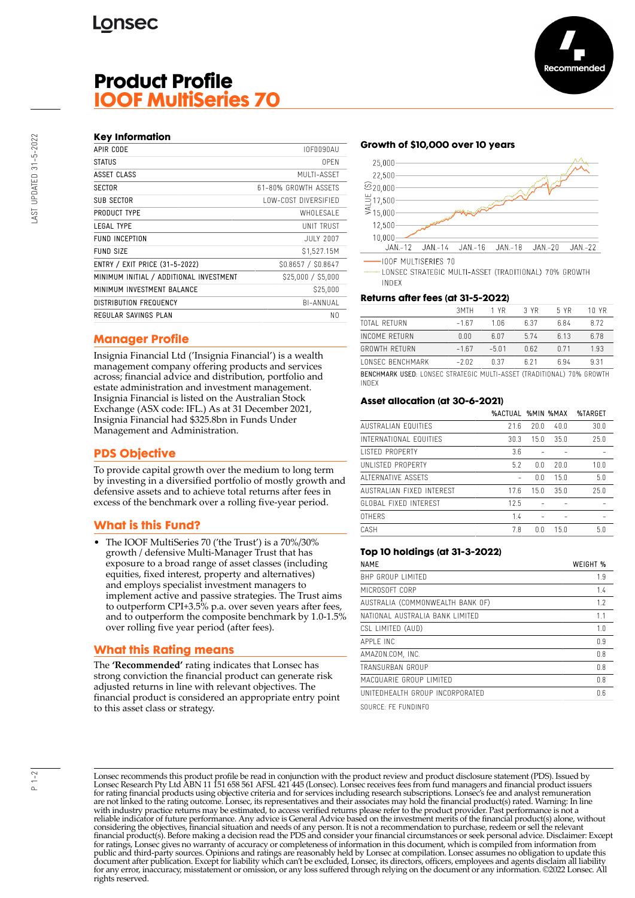# **Product Profile IOOF MultiSeries 70**

| APIR CODE                               | <b>IOF0090AU</b>     |
|-----------------------------------------|----------------------|
| <b>STATUS</b>                           | 0PFN                 |
| ASSET CLASS                             | MUITI-ASSFT          |
| <b>SECTOR</b>                           | 61-80% GROWTH ASSFTS |
| <b>SUB SECTOR</b>                       | LOW-COST DIVERSIFIED |
| PRODUCT TYPE                            | WHOI FSAI F          |
| <b>LEGAL TYPE</b>                       | UNIT TRUST           |
| <b>FUND INCEPTION</b>                   | JULY 2007            |
| <b>FUND SIZE</b>                        | \$1,527.15M          |
| ENTRY / EXIT PRICE (31-5-2022)          | \$0.8657 / \$0.8647  |
| MINIMUM INITIAL / ADDITIONAL INVESTMENT | \$25,000 / \$5,000   |
| MINIMUM INVESTMENT BALANCE              | \$25,000             |
| <b>DISTRIBUTION FREQUENCY</b>           | BI-ANNUAL            |
| REGULAR SAVINGS PLAN                    | N0                   |
|                                         |                      |

## **Manager Profile**

Insignia Financial Ltd ('Insignia Financial') is a wealth management company offering products and services across; financial advice and distribution, portfolio and estate administration and investment management. Insignia Financial is listed on the Australian Stock Exchange (ASX code: IFL.) As at 31 December 2021, Insignia Financial had \$325.8bn in Funds Under Management and Administration.

## **PDS Objective**

To provide capital growth over the medium to long term by investing in a diversified portfolio of mostly growth and defensive assets and to achieve total returns after fees in excess of the benchmark over a rolling five-year period.

## **What is this Fund?**

• The IOOF MultiSeries 70 ('the Trust') is a 70%/30% growth / defensive Multi-Manager Trust that has exposure to a broad range of asset classes (including equities, fixed interest, property and alternatives) and employs specialist investment managers to implement active and passive strategies. The Trust aims to outperform CPI+3.5% p.a. over seven years after fees, and to outperform the composite benchmark by 1.0-1.5% over rolling five year period (after fees).

## **What this Rating means**

The **'Recommended'** rating indicates that Lonsec has strong conviction the financial product can generate risk adjusted returns in line with relevant objectives. The financial product is considered an appropriate entry point to this asset class or strategy.

### **Growth of \$10,000 over 10 years**



LONSEC STRATEGIC MULTI-ASSET (TRADITIONAL) 70% GROWTH **INDEX** 

#### **Returns after fees (at 31-5-2022)**

|                                                                       | 3MTH    | 1 YR    | 3 YR  | 5 YR  | 10 YR |
|-----------------------------------------------------------------------|---------|---------|-------|-------|-------|
| TOTAL RETURN                                                          | $-167$  | 1 በ6    | 6.37  | 684   | 872   |
| INCOME RETURN                                                         | 0.00    | 6 0 7   | 574   | 6 1 3 | 6.78  |
| <b>GROWTH RETURN</b>                                                  | $-167$  | $-5.01$ | 062   | n 71  | 1.93  |
| <b><i>LONSEC BENCHMARK</i></b>                                        | $-2.02$ | በ 37    | 6 2 1 | ճ 94  | 931   |
| BENCHMARK USED: LONSEC STRATEGIC MULTI-ASSET (TRADITIONAL) 70% GROWTH |         |         |       |       |       |

INDEX

#### **Asset allocation (at 30-6-2021)**

|                           | %ACTUAL %MIN %MAX |      |                 | %TARGET |
|---------------------------|-------------------|------|-----------------|---------|
| AUSTRALIAN FOUITIES       | 71.6              | 20.0 | 40.0            | 30.0    |
| INTERNATIONAL FOUITIES    | 30.3              | 15.0 | 35.0            | 25.0    |
| <b>LISTED PROPERTY</b>    | 3.6               |      |                 |         |
| UNI ISTED PROPERTY        | 5.2               | 0.0  | 20.0            | 10.0    |
| ALTERNATIVE ASSETS        |                   | 0.0  | 15.0            | 5.0     |
| AUSTRALIAN FIXED INTEREST | 17.6              | 15.0 | 35.0            | 25.0    |
| GLOBAL FIXED INTEREST     | 12.5              |      |                 |         |
| <b>OTHERS</b>             | 1.4               |      |                 |         |
| CASH                      | 7.8               | ΛN   | 15 <sub>0</sub> | 5.0     |
|                           |                   |      |                 |         |

#### **Top 10 holdings (at 31-3-2022)**

| <b>NAME</b>                      | WEIGHT % |
|----------------------------------|----------|
| BHP GROUP LIMITED                | 1.9      |
| MICROSOFT CORP                   | 1.4      |
| AUSTRALIA (COMMONWEALTH BANK OF) | 1.7      |
| NATIONAL AUSTRALIA BANK LIMITED  | 1.1      |
| CSL LIMITED (AUD)                | 1.0      |
| APPI F INC                       | 0.9      |
| AMAZON.COM. INC.                 | 0.8      |
| TRANSURBAN GROUP                 | 0.8      |
| MACQUARIE GROUP LIMITED          | 0.8      |
| UNITEDHEALTH GROUP INCORPORATED  | 0.6      |

SOURCE: FE FUNDINFO

Lonsec recommends this product profile be read in conjunction with the product review and product disclosure statement (PDS). Issued by Lonsec Research Pty Ltd ABN 11 151 658 561 AFSL 421 445 (Lonsec). Lonsec receives fees from fund managers and financial product issuers for rating financial products using objective criteria and for services including research subscriptions. Lonsec's fee and analyst remuneration are not linked to the rating outcome. Lonsec, its representatives and their associates may hold the financial product(s) rated. Warning: In line with industry practice returns may be estimated, to access verified returns please refer to the product provider. Past performance is not a reliable indicator of future performance. Any advice is General Advice based on the investment merits of the financial product(s) alone, without considering the objectives, financial situation and needs of any person. It is not a recommendation to purchase, redeem or sell the relevant<br>financial product(s). Before making a decision read the PDS and consider your fin public and third-party sources. Opinions and ratings are reasonably held by Lonsec at compilation. Lonsec assumes no obligation to update this document after publication. Except for liability which can't be excluded, Lonsec, its directors, officers, employees and agents disclaim all liability for any error, inaccuracy, misstatement or omission, or any loss suffered through relying on the document or any information. ©2022 Lonsec. All rights reserved.